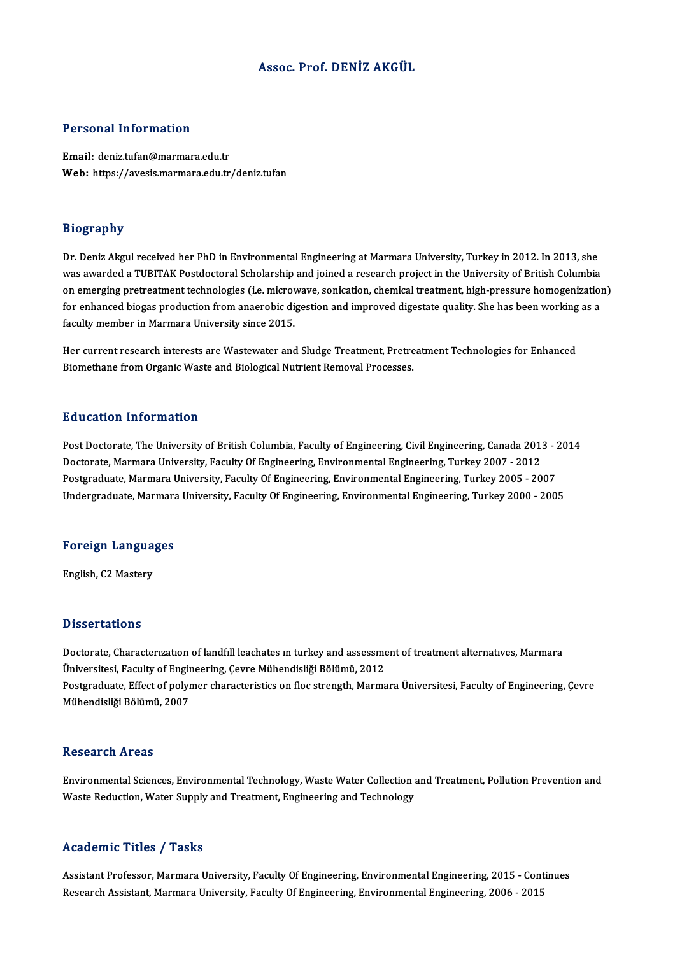### Assoc. Prof. DENİZ AKGÜL

### Personal Information

Email: deniz.tufan@marmara.edu.tr Web: https://avesis.marmara.edu.tr/deniz.tufan

### Biography

Dr. Deniz Akgul received her PhD in Environmental Engineering at Marmara University, Turkey in 2012. In 2013, she was awarded a TUBITAK Postdoctoral Scholarship and joined a research project in the University of British Columbia Dr. Deniz Akgul received her PhD in Environmental Engineering at Marmara University, Turkey in 2012. In 2013, she<br>was awarded a TUBITAK Postdoctoral Scholarship and joined a research project in the University of British Co was awarded a TUBITAK Postdoctoral Scholarship and joined a research project in the University of British Columbia<br>on emerging pretreatment technologies (i.e. microwave, sonication, chemical treatment, high-pressure homoge on emerging pretreatment technologies (i.e. microv<br>for enhanced biogas production from anaerobic di<br>faculty member in Marmara University since 2015. for enhanced biogas production from anaerobic digestion and improved digestate quality. She has been working as a<br>faculty member in Marmara University since 2015.<br>Her current research interests are Wastewater and Sludge Tr

Biomethane from Organic Waste and Biological Nutrient Removal Processes.

### Education Information

Education Information<br>Post Doctorate, The University of British Columbia, Faculty of Engineering, Civil Engineering, Canada 2013 - 2014<br>Destarate Marmara University Easylty Of Engineering, Environmental Engineering, Tyrkey Du ucation Timor interon<br>Post Doctorate, The University of British Columbia, Faculty of Engineering, Civil Engineering, Canada 201:<br>Doctorate, Marmara University, Faculty Of Engineering, Environmental Engineering, Turkey 2 Post Doctorate, The University of British Columbia, Faculty of Engineering, Civil Engineering, Canada 2013 - 2<br>Doctorate, Marmara University, Faculty Of Engineering, Environmental Engineering, Turkey 2007 - 2012<br>Postgradua Doctorate, Marmara University, Faculty Of Engineering, Environmental Engineering, Turkey 2007 - 2012<br>Postgraduate, Marmara University, Faculty Of Engineering, Environmental Engineering, Turkey 2005 - 2007<br>Undergraduate, Ma

## <sub>ondergraduate, marmara<br>Foreign Languages</sub> F<mark>oreign Langua</mark><br>English, C2 Mastery

English, C2 Mastery<br>Dissertations

Doctorate, Characterization of landfill leachates in turkey and assessment of treatment alternatives, Marmara Üniversitesi, Faculty of Engineering, Çevre Mühendisliği Bölümü, 2012 Doctorate, Characterization of landfill leachates in turkey and assessment of treatment alternatives, Marmara<br>Üniversitesi, Faculty of Engineering, Çevre Mühendisliği Bölümü, 2012<br>Postgraduate, Effect of polymer characteri Üniversitesi, Faculty of Engir<br>Postgraduate, Effect of polyr<br>Mühendisliği Bölümü, 2007 Mühendisliği Bölümü, 2007<br>Research Areas

Research Areas<br>Environmental Sciences, Environmental Technology, Waste Water Collection and Treatment, Pollution Prevention and<br>Waste Peduction, Water Supply and Treatment, Engineering and Technology. Resear en Trieas<br>Environmental Sciences, Environmental Technology, Waste Water Collection :<br>Waste Reduction, Water Supply and Treatment, Engineering and Technology Waste Reduction, Water Supply and Treatment, Engineering and Technology<br>Academic Titles / Tasks

Assistant Professor, Marmara University, Faculty Of Engineering, Environmental Engineering, 2015 - Continues Research Assistant, Marmara University, Faculty Of Engineering, Environmental Engineering, 2006 - 2015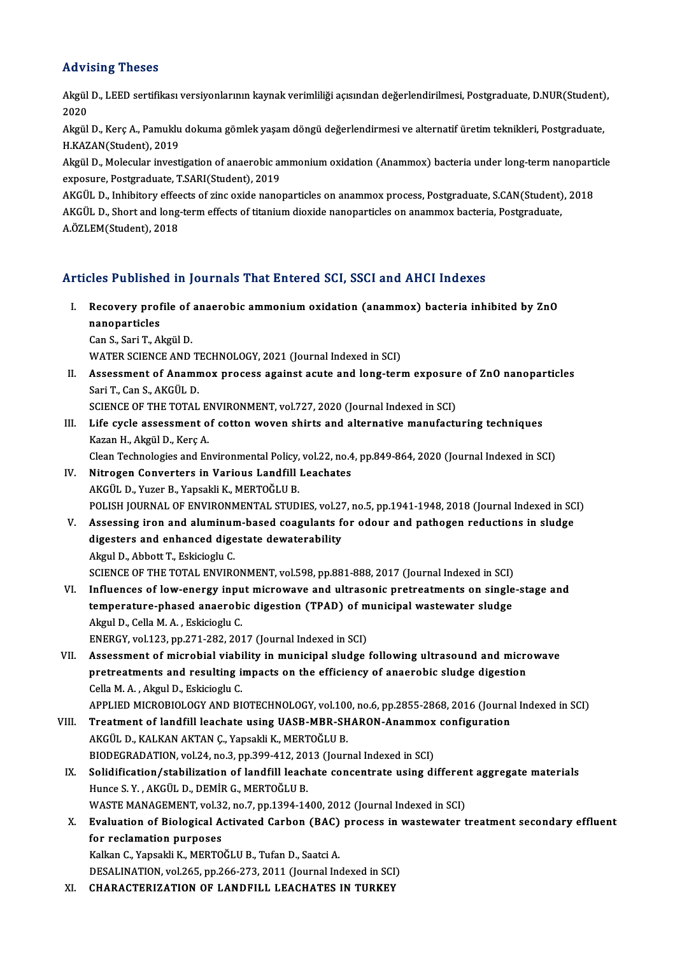### Advising Theses

**Advising Theses**<br>Akgül D., LEED sertifikası versiyonlarının kaynak verimliliği açısından değerlendirilmesi, Postgraduate, D.NUR(Student),<br>2020 Akgül<br>Akgül<br>2020 Akgül D., LEED sertifikası versiyonlarının kaynak verimliliği açısından değerlendirilmesi, Postgraduate, D.NUR(Student)<br>2020<br>Akgül D., Kerç A., Pamuklu dokuma gömlek yaşam döngü değerlendirmesi ve alternatif üretim teknikl

2020<br>Akgül D., Kerç A., Pamuklu<br>H.KAZAN(Student), 2019<br>Akgül D., Molegular investi Akgül D., Kerç A., Pamuklu dokuma gömlek yaşam döngü değerlendirmesi ve alternatif üretim teknikleri, Postgraduate,<br>H.KAZAN(Student), 2019<br>Akgül D., Molecular investigation of anaerobic ammonium oxidation (Anammox) bacteri

H.KAZAN(Student), 2019<br>Akgül D., Molecular investigation of anaerobic ammonium oxidation (Anammox) bacteria under long-term nanoparticle<br>exposure, Postgraduate, T.SARI(Student), 2019

AKGÜL D., Inhibitory effeects of zinc oxide nanoparticles on anammox process, Postgraduate, S.CAN(Student), 2018 exposure, Postgraduate, T.SARI(Student), 2019<br>AKGÜL D., Inhibitory effeects of zinc oxide nanoparticles on anammox process, Postgraduate, S.CAN(Student)<br>AKGÜL D., Short and long-term effects of titanium dioxide nanoparticl AKGÜL D., Inhibitory effee<br>AKGÜL D., Short and long<br>A.ÖZLEM(Student), 2018

# A.ÖZLEM(Student), 2018<br>Articles Published in Journals That Entered SCI, SSCI and AHCI Indexes

- rticles Published in Journals That Entered SCI, SSCI and AHCI Indexes<br>I. Recovery profile of anaerobic ammonium oxidation (anammox) bacteria inhibited by ZnO<br>Panoporticles nes 1 assiste<br>Recovery prof<br>nanoparticles<br>Can S. Sari T. A. Recovery profile of<br>nanoparticles<br>Can S., Sari T., Akgül D.<br>WATER SCIENCE AND nanoparticles<br>Can S., Sari T., Akgül D.<br>WATER SCIENCE AND TECHNOLOGY, 2021 (Journal Indexed in SCI)
	-

Can S., Sari T., Akgül D.<br>WATER SCIENCE AND TECHNOLOGY, 2021 (Journal Indexed in SCI)<br>II. Assessment of Anammox process against acute and long-term exposure of ZnO nanoparticles<br>Sari T. Can S. AKCÜL D. SariT.,CanS.,AKGÜLD. Assessment of Anammox process against acute and long-term exposure<br>Sari T., Can S., AKGÜL D.<br>SCIENCE OF THE TOTAL ENVIRONMENT, vol.727, 2020 (Journal Indexed in SCI)<br>Life avale assessment of setten weyen shirts and alterna

SCIENCE OF THE TOTAL ENVIRONMENT, vol.727, 2020 (Journal Indexed in SCI)

III. Life cycle assessment of cotton woven shirts and alternative manufacturing techniques Kazan H., Akgül D., Kerç A. Life cycle assessment of cotton woven shirts and alternative manufacturing techniques<br>Kazan H., Akgül D., Kerç A.<br>Clean Technologies and Environmental Policy, vol.22, no.4, pp.849-864, 2020 (Journal Indexed in SCI)<br>Nitrogo

- IV. Nitrogen Converters in Various Landfill Leachates<br>AKGÜL D., Yuzer B., Yapsakli K., MERTOĞLU B. Clean Technologies and Environmental Policy,<br>Nitrogen Converters in Various Landfill<br>AKGÜL D., Yuzer B., Yapsakli K., MERTOĞLU B.<br>POLISH JOUPNAL OF ENVIRONMENTAL STUD POLISH JOURNAL OF ENVIRONMENTAL STUDIES, vol.27, no.5, pp.1941-1948, 2018 (Journal Indexed in SCI)
- V. Assessing iron and aluminum-based coagulants for odour and pathogen reductions in sludge POLISH JOURNAL OF ENVIRONMENTAL STUDIES, vol.27<br>Assessing iron and aluminum-based coagulants for<br>digesters and enhanced digestate dewaterability Assessing iron and aluminur<br>digesters and enhanced dige<br>Akgul D., Abbott T., Eskicioglu C.<br>SCIENCE OF THE TOTAL ENVIRO Akgul D., Abbott T., Eskicioglu C.<br>SCIENCE OF THE TOTAL ENVIRONMENT, vol.598, pp.881-888, 2017 (Journal Indexed in SCI) Akgul D., Abbott T., Eskicioglu C.<br>SCIENCE OF THE TOTAL ENVIRONMENT, vol.598, pp.881-888, 2017 (Journal Indexed in SCI)<br>VI. Influences of low-energy input microwave and ultrasonic pretreatments on single-stage and<br>temperat
- SCIENCE OF THE TOTAL ENVIRONMENT, vol.598, pp.881-888, 2017 (Journal Indexed in SCI)<br>Influences of low-energy input microwave and ultrasonic pretreatments on single<br>temperature-phased anaerobic digestion (TPAD) of municipa Influences of low-energy inpu<br>temperature-phased anaerobi<br>Akgul D., Cella M. A. , Eskicioglu C.<br>ENEDCV. vol.122. pp.271.282.201 temperature-phased anaerobic digestion (TPAD) of municipal wastewater sludge<br>Akgul D., Cella M. A. , Eskicioglu C.<br>ENERGY, vol.123, pp.271-282, 2017 (Journal Indexed in SCI)
- Akgul D., Cella M. A. , Eskicioglu C.<br>ENERGY, vol.123, pp.271-282, 2017 (Journal Indexed in SCI)<br>VII. Assessment of microbial viability in municipal sludge following ultrasound and microwave<br>protrectments and resulting imp ENERGY, vol.123, pp.271-282, 2017 (Journal Indexed in SCI)<br>Assessment of microbial viability in municipal sludge following ultrasound and micro<br>pretreatments and resulting impacts on the efficiency of anaerobic sludge dige Assessment of microbial viabi<br>pretreatments and resulting in<br>Cella M. A. , Akgul D., Eskicioglu C.<br>APPLED MICROPIOLOCY AND PL pretreatments and resulting impacts on the efficiency of anaerobic sludge digestion<br>Cella M. A. , Akgul D., Eskicioglu C.<br>APPLIED MICROBIOLOGY AND BIOTECHNOLOGY, vol.100, no.6, pp.2855-2868, 2016 (Journal Indexed in SCI)<br>T

- Cella M. A. , Akgul D., Eskicioglu C.<br>APPLIED MICROBIOLOGY AND BIOTECHNOLOGY, vol.100, no.6, pp.2855-2868, 2016 (Journa<br>VIII. Treatment of landfill leachate using UASB-MBR-SHARON-Anammox configuration APPLIED MICROBIOLOGY AND BIOTECHNOLOGY, vol.10<br>Treatment of landfill leachate using UASB-MBR-SH<br>AKGÜL D., KALKAN AKTAN C., Yapsakli K., MERTOĞLU B.<br>PIODECRADATION vol.24 no.2 np.399.412.2012 (Journ Treatment of landfill leachate using UASB-MBR-SHARON-Anammox<br>AKGÜL D., KALKAN AKTAN Ç., Yapsakli K., MERTOĞLU B.<br>BIODEGRADATION, vol.24, no.3, pp.399-412, 2013 (Journal Indexed in SCI)<br>Selidification (stabilization of land AKGÜL D., KALKAN AKTAN Ç., Yapsakli K., MERTOĞLU B.<br>BIODEGRADATION, vol.24, no.3, pp.399-412, 2013 (Journal Indexed in SCI)<br>IX. Solidification/stabilization of landfill leachate concentrate using different aggregate materi
- BIODEGRADATION, vol.24, no.3, pp.399-412, 20<br>Solidification/stabilization of landfill leach<br>Hunce S.Y. , AKGÜL D., DEMİR G., MERTOĞLU B.<br>WASTE MANACEMENT, vol.32, no.7, nn.1394, 14 Solidification/stabilization of landfill leachate concentrate using differen<br>Hunce S.Y., AKGÜL D., DEMİR G., MERTOĞLU B.<br>WASTE MANAGEMENT, vol.32, no.7, pp.1394-1400, 2012 (Journal Indexed in SCI)<br>Evaluation of Biological Hunce S. Y. , AKGÜL D., DEMİR G., MERTOĞLU B.<br>WASTE MANAGEMENT, vol.32, no.7, pp.1394-1400, 2012 (Journal Indexed in SCI)<br>X. Evaluation of Biological Activated Carbon (BAC) process in wastewater treatment secondary eff
- WASTE MANAGEMENT, vol.3.<br>Evaluation of Biological A<br>for reclamation purposes<br>Kalkan C. Xansakli K. MEPTO Evaluation of Biological Activated Carbon (BAC)<br>for reclamation purposes<br>Kalkan C., Yapsakli K., MERTOĞLU B., Tufan D., Saatci A.<br>DESALINATION vel 265. np.266.272.2011 (Journal In

for reclamation purposes<br>Kalkan C., Yapsakli K., MERTOĞLU B., Tufan D., Saatci A.<br>DESALINATION, vol.265, pp.266-273, 2011 (Journal Indexed in SCI)

XI. CHARACTERIZATION OF LANDFILL LEACHATES IN TURKEY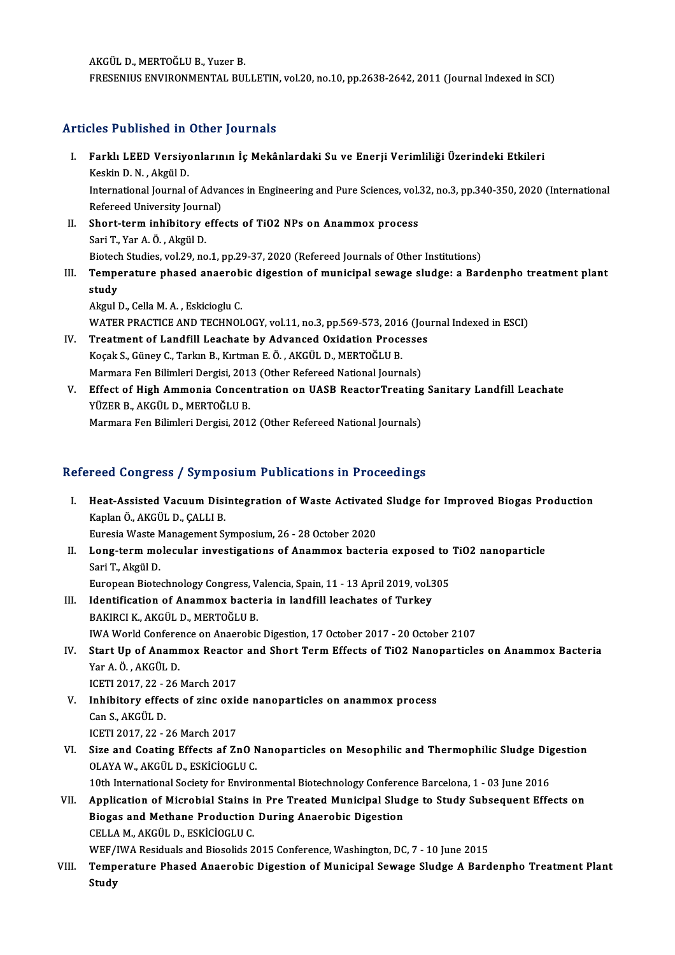AKGÜLD.,MERTOĞLUB.,YuzerB. FRESENIUS ENVIRONMENTAL BULLETIN, vol.20, no.10, pp.2638-2642, 2011 (Journal Indexed in SCI)

## Articles Published in Other Journals

- rticles Published in Other Journals<br>I. Farklı LEED Versiyonlarının İç Mekânlardaki Su ve Enerji Verimliliği Üzerindeki Etkileri<br>Keskin D.N. Akrül D kes 1 denomed 11<br>Farklı LEED Versiye<br>Keskin D.N. , Akgül D.<br>International Journal Farklı LEED Versiyonlarının İç Mekânlardaki Su ve Enerji Verimliliği Üzerindeki Etkileri<br>Keskin D. N. , Akgül D.<br>International Journal of Advances in Engineering and Pure Sciences, vol.32, no.3, pp.340-350, 2020 (Internati Keskin D. N. , Akgül D.<br>International Journal of Adva<br>Refereed University Journal)<br>Short torm inhibitory offe International Journal of Advances in Engineering and Pure Sciences, vol.<br>Refereed University Journal)<br>II. Short-term inhibitory effects of TiO2 NPs on Anammox process<br>Son' T. Vor A. Ö. Akriil D. Refereed University Journ<br>Short-term inhibitory<br>Sari T., Yar A. Ö. , Akgül D.<br>Bistash Studies vol 29, no Short-term inhibitory effects of TiO2 NPs on Anammox process<br>Sari T., Yar A.Ö., Akgül D.<br>Biotech Studies, vol.29, no.1, pp.29-37, 2020 (Refereed Journals of Other Institutions)<br>Temperature phased apearable disection of mun Sari T., Yar A. Ö. , Akgül D.<br>Biotech Studies, vol.29, no.1, pp.29-37, 2020 (Refereed Journals of Other Institutions)<br>III. Temperature phased anaerobic digestion of municipal sewage sludge: a Bardenpho treatment plant<br>
- Biotech Studies, vol.29, no.1, pp.29-37, 2020 (Refereed Journals of Other Institutions)<br>Temperature phased anaerobic digestion of municipal sewage sludge: a Bar<br>study<br>Akgul D., Cella M. A., Eskicioglu C. Temperature phased anaerob<br>study<br>Akgul D., Cella M. A. , Eskicioglu C.<br>WATER PRACTICE AND TECUNOL study<br>Akgul D., Cella M. A. , Eskicioglu C.<br>WATER PRACTICE AND TECHNOLOGY, vol.11, no.3, pp.569-573, 2016 (Journal Indexed in ESCI)<br>Treatment of Landfill Leachate by Advanced Ovidation Presesses

- Akgul D., Cella M. A., Eskicioglu C.<br>WATER PRACTICE AND TECHNOLOGY, vol.11, no.3, pp.569-573, 2016 (Jou<br>IV. Treatment of Landfill Leachate by Advanced Oxidation Processes<br>Kosak S. Günav C. Tarlun B. Kutman E.Ö., AKCÜL D. M WATER PRACTICE AND TECHNOLOGY, vol.11, no.3, pp.569-573, 201<br>Treatment of Landfill Leachate by Advanced Oxidation Proce<br>Koçak S., Güney C., Tarkın B., Kırtman E. Ö. , AKGÜL D., MERTOĞLU B.<br>Marmara Fan Bilimlari Dargisi 201 IV. Treatment of Landfill Leachate by Advanced Oxidation Processes<br>Kocak S., Güney C., Tarkın B., Kırtman E. Ö., AKGÜL D., MERTOĞLU B.
- Koçak S., Güney C., Tarkın B., Kırtman E. Ö. , AKGÜL D., MERTOĞLU B.<br>Marmara Fen Bilimleri Dergisi, 2013 (Other Refereed National Journals)<br>V. Effect of High Ammonia Concentration on UASB ReactorTreating Sanitary Landfill Marmara Fen Bilimleri Dergisi, 2013 (Other Refereed National Journals)<br>Effect of High Ammonia Concentration on UASB ReactorTreating<br>YÜZER B., AKGÜL D., MERTOĞLU B.<br>Marmara Fen Bilimleri Dergisi, 2012 (Other Refereed Nation Effect of High Ammonia Concentration on UASB ReactorTreating<br>YÜZER B., AKGÜL D., MERTOĞLU B.<br>Marmara Fen Bilimleri Dergisi, 2012 (Other Refereed National Journals)

## Refereed Congress / Symposium Publications in Proceedings

efereed Congress / Symposium Publications in Proceedings<br>I. Heat-Assisted Vacuum Disintegration of Waste Activated Sludge for Improved Biogas Production<br>Kaplan Ö. AKCÜLD CALLLE Kaplan Ö., AKGÜL D., ÇALLI B.<br>Kaplan Ö., AKGÜL D., ÇALLI B.<br>Eunosia Wasta Managamant S. Heat-Assisted Vacuum Disintegration of Waste Activated<br>Kaplan Ö., AKGÜL D., ÇALLI B.<br>Euresia Waste Management Symposium, 26 - 28 October 2020<br>Long teum mologular investigations of Anammov baster Kaplan Ö., AKGÜL D., ÇALLI B.<br>Euresia Waste Management Symposium, 26 - 28 October 2020<br>II. Long-term molecular investigations of Anammox bacteria exposed to TiO2 nanoparticle<br>Sori T. Akgül D.

Euresia Waste M<br>**Long-term mo<br>Sari T., Akgül D.**<br>Europeen Biste Long-term molecular investigations of Anammox bacteria exposed to<br>Sari T., Akgül D.<br>European Biotechnology Congress, Valencia, Spain, 11 - 13 April 2019, vol.305<br>Identification of Anammoy bacteria in landfill leachates of

European Biotechnology Congress, Valencia, Spain, 11 - 13 April 2019, vol.305

- Sari T., Akgül D.<br>European Biotechnology Congress, Valencia, Spain, 11 13 April 2019, vol.<br>III. Identification of Anammox bacteria in landfill leachates of Turkey<br>BAKIRCI K., AKGÜL D., MERTOĞLU B. IWA World Conference on Anaerobic Digestion, 17 October 2017 - 20 October 2107
- BAKIRCI K., AKGÜL D., MERTOĞLU B.<br>IWA World Conference on Anaerobic Digestion, 17 October 2017 20 October 2107<br>IV. Start Up of Anammox Reactor and Short Term Effects of TiO2 Nanoparticles on Anammox Bacteria<br>Var A Ö. AKÇ IWA World Confere<br>Start Up of Anamr<br>Yar A.Ö., AKGÜL D.<br>JCETI 2017-22-26 Start Up of Anammox Reacto:<br>Yar A.Ö., AKGÜL D.<br>ICETI 2017, 22 - 26 March 2017<br>Inhibitory offects of sine exis Yar A.Ö., AKGÜL D.<br>ICETI 2017, 22 - 26 March 2017<br>V. Inhibitory effects of zinc oxide nanoparticles on anammox process<br>Can S. AKGÜL D.
- ICETI 2017, 22 :<br>I<mark>nhibitory effec</mark><br>Can S., AKGÜL D.<br>ICETI 2017, 22 Inhibitory effects of zinc oxid<br>Can S., AKGÜL D.<br>ICETI 2017, 22 - 26 March 2017<br>Sine and Costing Effects of 7x Can S., AKGÜL D.<br>ICETI 2017, 22 - 26 March 2017<br>VI. Size and Coating Effects af ZnO Nanoparticles on Mesophilic and Thermophilic Sludge Digestion<br>OLAYA W. AKCÜL D. ESKİCİOCLU C
- ICETI 2017, 22 26 March 2017<br>Size and Coating Effects af ZnO N<br>OLAYA W., AKGÜL D., ESKİCİOGLU C.<br>10th International Seciety for Enviro Size and Coating Effects af ZnO Nanoparticles on Mesophilic and Thermophilic Sludge Dig<br>OLAYA W., AKGÜL D., ESKİCİOGLU C.<br>10th International Society for Environmental Biotechnology Conference Barcelona, 1 - 03 June 2016<br>An OLAYA W., AKGÜL D., ESKİCİOGLU C.<br>10th International Society for Environmental Biotechnology Conference Barcelona, 1 - 03 June 2016<br>VII. Application of Microbial Stains in Pre Treated Municipal Sludge to Study Subseque

## 10th International Society for Environmental Biotechnology Conferer<br>Application of Microbial Stains in Pre Treated Municipal Slud<br>Biogas and Methane Production During Anaerobic Digestion<br>CELLAM AKCÜLD ESKICIOCLUC Application of Microbial Stains i<br>Biogas and Methane Production<br>CELLA M., AKGÜL D., ESKİCİOGLU C.<br>WEE (IWA Besiduals and Biosolida 2 Biogas and Methane Production During Anaerobic Digestion<br>CELLA M., AKGÜL D., ESKICIOGLU C.<br>WEF/IWA Residuals and Biosolids 2015 Conference, Washington, DC, 7 - 10 June 2015<br>Temperature Phased Anaerobis Disection of Munisip

CELLA M., AKGÜL D., ESKİCİOGLU C.<br>WEF/IWA Residuals and Biosolids 2015 Conference, Washington, DC, 7 - 10 June 2015<br>VIII. Temperature Phased Anaerobic Digestion of Municipal Sewage Sludge A Bardenpho Treatment Plant<br>St WEF/<br>Temp<br>Study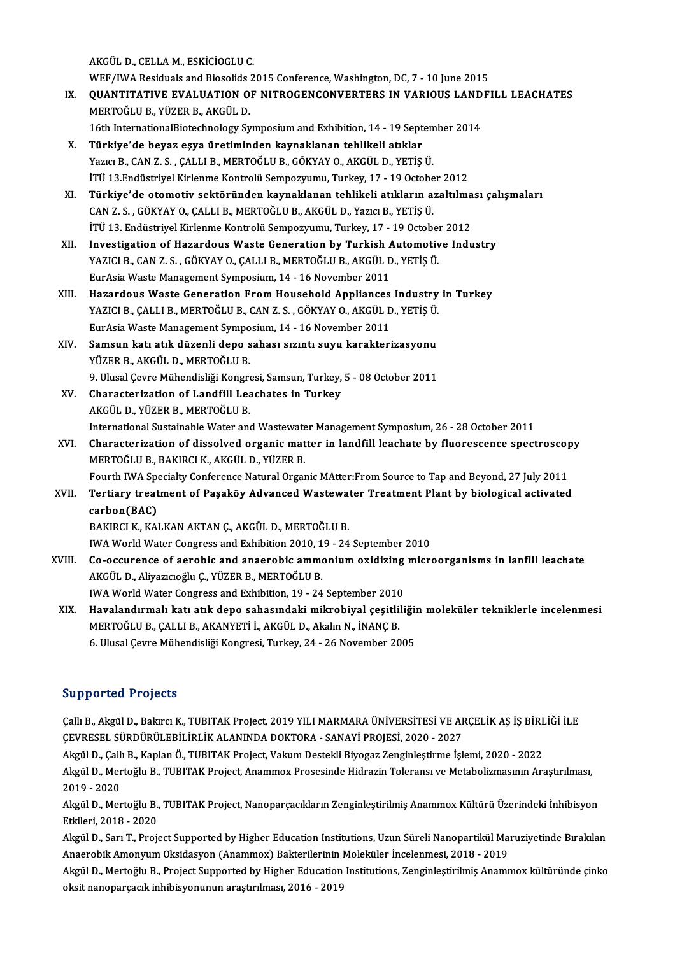AKGÜLD.,CELLAM.,ESKİCİOGLUC.

AKGÜL D., CELLA M., ESKİCİOGLU C.<br>WEF/IWA Residuals and Biosolids 2015 Conference, Washington, DC, 7 - 10 June 2015<br>QUANTITATIVE EVALUATION OF NITROCENCONVERTERS IN VARIOUS LANDE:

- IX. QUANTITATIVE EVALUATION OF NITROGENCONVERTERS IN VARIOUS LANDFILL LEACHATES<br>MERTOĞLU B. YÜZER B. AKGÜL D. WEF/IWA Residuals and Biosolids<br>QUANTITATIVE EVALUATION O<br>MERTOĞLU B., YÜZER B., AKGÜL D.<br>16th InternationalBiotechnology Sy 16th InternationalBiotechnology SymposiumandExhibition,14 -19 September 2014
- X. Türkiye'de beyaz eşya üretiminden kaynaklanan tehlikeli atıklar Yazıcı B., CAN Z. S., ÇALLI B., MERTOĞLU B., GÖKYAY O., AKGÜL D., YETİŞ Ü. İTÜ13.EndüstriyelKirlenmeKontrolü Sempozyumu,Turkey,17 -19October 2012 Yazıcı B., CAN Z. S. , ÇALLI B., MERTOĞLU B., GÖKYAY O., AKGÜL D., YETİŞ Ü.<br>İTÜ 13.Endüstriyel Kirlenme Kontrolü Sempozyumu, Turkey, 17 - 19 October 2012<br>XI. Türkiye'de otomotiv sektöründen kaynaklanan tehlikeli atıkla
- İTÜ 13.Endüstriyel Kirlenme Kontrolü Sempozyumu, Turkey, 17 19 Octobe<br>Türkiye'de otomotiv sektöründen kaynaklanan tehlikeli atıkların a:<br>CAN Z. S., GÖKYAY O., ÇALLI B., MERTOĞLU B., AKGÜL D., Yazıcı B., YETİŞ Ü.<br>İTÜ 12. Türkiye'de otomotiv sektöründen kaynaklanan tehlikeli atıkların azaltılma<br>CAN Z. S. , GÖKYAY O., ÇALLI B., MERTOĞLU B., AKGÜL D., Yazıcı B., YETİŞ Ü.<br>İTÜ 13. Endüstriyel Kirlenme Kontrolü Sempozyumu, Turkey, 17 - 19 Octobe CAN Z. S. , GÖKYAY O., ÇALLI B., MERTOĞLU B., AKGÜL D., Yazıcı B., YETİŞ Ü.<br>İTÜ 13. Endüstriyel Kirlenme Kontrolü Sempozyumu, Turkey, 17 - 19 October 2012<br>XII. Investigation of Hazardous Waste Generation by Turkish Automot İTÜ 13. Endüstriyel Kirlenme Kontrolü Sempozyumu, Turkey, 17 - 19 October 2012
- EurAsiaWasteManagementSymposium,14 -16November 2011
- XIII. Hazardous Waste Generation From Household Appliances Industry in Turkey EurAsia Waste Management Symposium, 14 - 16 November 2011<br>Hazardous Waste Generation From Household Appliances Industry<br>YAZICI B., ÇALLI B., MERTOĞLU B., CAN Z. S. , GÖKYAY O., AKGÜL D., YETİŞ Ü.<br>EurAsia Waste Management S Hazardous Waste Generation From Household Appliances<br>YAZICI B., ÇALLI B., MERTOĞLU B., CAN Z. S. , GÖKYAY O., AKGÜL D<br>EurAsia Waste Management Symposium, 14 - 16 November 2011<br>Samaun katı atık düranli dana sahası sısıntı s YAZICI B., ÇALLI B., MERTOĞLU B., CAN Z. S. , GÖKYAY O., AKGÜL D., YETİŞ Ü.<br>EurAsia Waste Management Symposium, 14 - 16 November 2011<br>XIV. Samsun katı atık düzenli depo sahası sızıntı suyu karakterizasyonu<br>VÜZER B. AKGÜL D
- EurAsia Waste Management Symposium, 14 16 November 2011<br>Samsun katı atık düzenli depo sahası sızıntı suyu karakterizasyonu<br>YÜZER B., AKGÜL D., MERTOĞLU B. Samsun katı atık düzenli depo sahası sızıntı suyu karakterizasyonu<br>YÜZER B., AKGÜL D., MERTOĞLU B.<br>9. Ulusal Çevre Mühendisliği Kongresi, Samsun, Turkey, 5 - 08 October 2011<br>Chanasterisation of Landfill Leachates in Turkey
- XV. Characterization of Landfill Leachates in Turkey<br>AKGÜL D., YÜZER B., MERTOĞLU B. 9. Ulusal Çevre Mühendisliği Kongre<br>Characterization of Landfill Lea<br>AKGÜL D., YÜZER B., MERTOĞLU B.<br>International Sustainable Water and Characterization of Landfill Leachates in Turkey<br>AKGÜL D., YÜZER B., MERTOĞLU B.<br>International Sustainable Water and Wastewater Management Symposium, 26 - 28 October 2011<br>Characterization of dissolved organis matter in lan AKGÜL D., YÜZER B., MERTOĞLU B.<br>International Sustainable Water and Wastewater Management Symposium, 26 - 28 October 2011<br>XVI. Characterization of dissolved organic matter in landfill leachate by fluorescence spectrosc
- International Sustainable Water and Wastewate<br>Characterization of dissolved organic mat<br>MERTOĞLU B., BAKIRCI K., AKGÜL D., YÜZER B.<br>Fourth WA Specialty Conference Natural Organ Characterization of dissolved organic matter in landfill leachate by fluorescence spectroscop<br>MERTOĞLU B., BAKIRCI K., AKGÜL D., YÜZER B.<br>Fourth IWA Specialty Conference Natural Organic MAtter:From Source to Tap and Beyond Fourth IWA Specialty Conference Natural Organic MAtter: From Source to Tap and Beyond, 27 July 2011
- MERTOĞLU B., BAKIRCI K., AKGÜL D., YÜZER B.<br>Fourth IWA Specialty Conference Natural Organic MAtter:From Source to Tap and Beyond, 27 July 2011<br>XVII. Tertiary treatment of Paşaköy Advanced Wastewater Treatment Plant by biol BAKIRCI K., KALKAN AKTAN Ç., AKGÜL D., MERTOĞLU B.

IWA World Water Congress and Exhibition 2010, 19 - 24 September 2010

BAKIRCI K., KALKAN AKTAN Ç., AKGÜL D., MERTOĞLU B.<br>IWA World Water Congress and Exhibition 2010, 19 - 24 September 2010<br>XVIII. Co-occurence of aerobic and anaerobic ammonium oxidizing microorganisms in lanfill leachate AKGÜL D., Aliyazıcıoğlu Ç., YÜZER B., MERTOĞLU B.<br>IWA World Water Congress and Exhibition, 19 - 24 September 2010 Co-occurence of aerobic and anaerobic ammonium oxidizing<br>AKGÜL D., Aliyazıcıoğlu Ç., YÜZER B., MERTOĞLU B.<br>IWA World Water Congress and Exhibition, 19 - 24 September 2010<br>Havelandırmalı katı atık dana sahasındaki mikrobiya

XIX. Havalandırmalı katı atık depo sahasındaki mikrobiyal çeşitliliğin moleküler tekniklerle incelenmesi

IWA World Water Congress and Exhibition, 19 - 24 September 2010<br>Havalandırmalı katı atık depo sahasındaki mikrobiyal çeşitli<br>MERTOĞLU B., ÇALLI B., AKANYETİ İ., AKGÜL D., Akalın N., İNANÇ B.<br>6 Hivçel Ceyre Mühandisliği Kan Havalandırmalı katı atık depo sahasındaki mikrobiyal çeşitliliği:<br>MERTOĞLU B., ÇALLI B., AKANYETİ İ., AKGÜL D., Akalın N., İNANÇ B.<br>6. Ulusal Çevre Mühendisliği Kongresi, Turkey, 24 - 26 November 2005 6. Ulusal Çevre Mühendisliği Kongresi, Turkey, 24 - 26 November 2005<br>Supported Projects

Supported Projects<br>Çallı B., Akgül D., Bakırcı K., TUBITAK Project, 2019 YILI MARMARA ÜNİVERSİTESİ VE ARÇELİK AŞ İŞ BİRLİĞİ İLE<br>ÇEVPESEL SÜRDÜRÜLERİLİRLİK ALANINDA DOKTORA - SANAYİ PROJESİ 2020 - 2027 ÇEVRESEL SÜRDÜRÜLEBİLİRLİKALANINDADOKTORA-SANAYİPROJESİ,2020 -2027 Çallı B., Akgül D., Bakırcı K., TUBITAK Project, 2019 YILI MARMARA ÜNİVERSİTESİ VE ARÇELİK AŞ İŞ BİRI<br>ÇEVRESEL SÜRDÜRÜLEBİLİRLİK ALANINDA DOKTORA - SANAYİ PROJESİ, 2020 - 2027<br>Akgül D., Çallı B., Kaplan Ö., TUBITAK Project

Akgül D., Callı B., Kaplan Ö., TUBITAK Project, Vakum Destekli Biyogaz Zenginleştirme İşlemi, 2020 - 2022

Akgül D., Mertoğlu B., TUBITAK Project, Anammox Prosesinde Hidrazin Toleransı ve Metabolizmasının Araştırılması,<br>2019 - 2020 Akgül D., Mertoğlu B., TUBITAK Project, Anammox Prosesinde Hidrazin Toleransı ve Metabolizmasının Araştırılması,<br>2019 - 2020<br>Akgül D., Mertoğlu B., TUBITAK Project, Nanoparçacıkların Zenginleştirilmiş Anammox Kültürü Üzeri

2019 - 2020<br>Akgül D., Mertoğlu B.,<br>Etkileri, 2018 - 2020<br>Akgül D., Son T., Broj Akgül D., Mertoğlu B., TUBITAK Project, Nanoparçacıkların Zenginleştirilmiş Anammox Kültürü Üzerindeki İnhibisyon<br>Etkileri, 2018 - 2020<br>Akgül D., Sarı T., Project Supported by Higher Education Institutions, Uzun Süreli Nan

Etkileri, 2018 - 2020<br>Akgül D., Sarı T., Project Supported by Higher Education Institutions, Uzun Süreli Nanopartikül Ma<br>Anaerobik Amonyum Oksidasyon (Anammox) Bakterilerinin Moleküler İncelenmesi, 2018 - 2019<br>Akgül D. Mor Akgül D., Sarı T., Project Supported by Higher Education Institutions, Uzun Süreli Nanopartikül Maruziyetinde Bırakılan<br>Anaerobik Amonyum Oksidasyon (Anammox) Bakterilerinin Moleküler İncelenmesi, 2018 - 2019<br>Akgül D., Mer

Anaerobik Amonyum Oksidasyon (Anammox) Bakterilerinin Moleküler İncelenmesi, 2018 - 2019<br>Akgül D., Mertoğlu B., Project Supported by Higher Education Institutions, Zenginleştirilmiş Anammox kültüründe çinko<br>oksit nanoparça